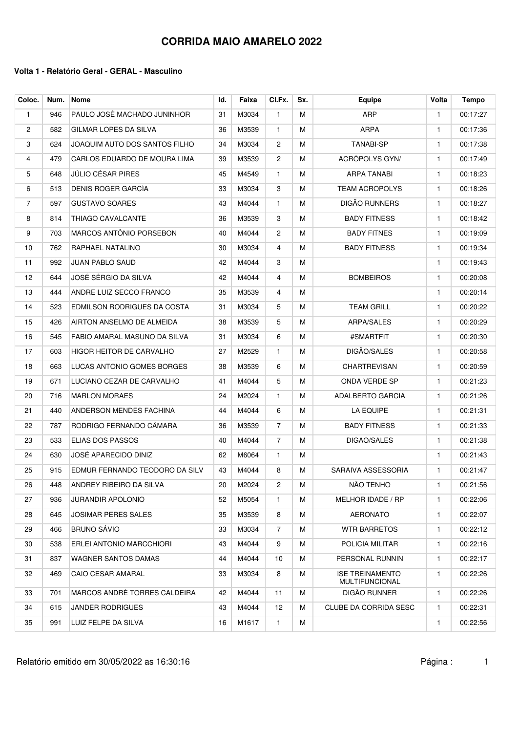| Coloc.         | Num. | Nome                           | Id. | Faixa | CI.Fx.                  | Sx. | <b>Equipe</b>                                   | Volta        | <b>Tempo</b> |
|----------------|------|--------------------------------|-----|-------|-------------------------|-----|-------------------------------------------------|--------------|--------------|
| $\mathbf{1}$   | 946  | PAULO JOSÉ MACHADO JUNINHOR    | 31  | M3034 | $\mathbf{1}$            | м   | <b>ARP</b>                                      | $\mathbf{1}$ | 00:17:27     |
| $\overline{c}$ | 582  | <b>GILMAR LOPES DA SILVA</b>   | 36  | M3539 | $\mathbf{1}$            | м   | <b>ARPA</b>                                     | $\mathbf{1}$ | 00:17:36     |
| 3              | 624  | JOAQUIM AUTO DOS SANTOS FILHO  | 34  | M3034 | $\overline{c}$          | M   | <b>TANABI-SP</b>                                | $\mathbf{1}$ | 00:17:38     |
| 4              | 479  | CARLOS EDUARDO DE MOURA LIMA   | 39  | M3539 | $\overline{2}$          | м   | ACRÓPOLYS GYN/                                  | $\mathbf{1}$ | 00:17:49     |
| 5              | 648  | JÚLIO CÉSAR PIRES              | 45  | M4549 | $\mathbf{1}$            | м   | <b>ARPA TANABI</b>                              | $\mathbf{1}$ | 00:18:23     |
| 6              | 513  | DENIS ROGER GARCÍA             | 33  | M3034 | 3                       | м   | <b>TEAM ACROPOLYS</b>                           | 1            | 00:18:26     |
| 7              | 597  | <b>GUSTAVO SOARES</b>          | 43  | M4044 | $\mathbf{1}$            | М   | DIGÃO RUNNERS                                   | $\mathbf{1}$ | 00:18:27     |
| 8              | 814  | THIAGO CAVALCANTE              | 36  | M3539 | 3                       | M   | <b>BADY FITNESS</b>                             | $\mathbf{1}$ | 00:18:42     |
| 9              | 703  | MARCOS ANTÔNIO PORSEBON        | 40  | M4044 | $\mathbf{2}^{\prime}$   | м   | <b>BADY FITNES</b>                              | 1            | 00:19:09     |
| 10             | 762  | RAPHAEL NATALINO               | 30  | M3034 | $\overline{4}$          | м   | <b>BADY FITNESS</b>                             | $\mathbf{1}$ | 00:19:34     |
| 11             | 992  | <b>JUAN PABLO SAUD</b>         | 42  | M4044 | 3                       | м   |                                                 | $\mathbf{1}$ | 00:19:43     |
| 12             | 644  | JOSÉ SÉRGIO DA SILVA           | 42  | M4044 | 4                       | м   | <b>BOMBEIROS</b>                                | $\mathbf{1}$ | 00:20:08     |
| 13             | 444  | ANDRE LUIZ SECCO FRANCO        | 35  | M3539 | $\overline{4}$          | м   |                                                 | $\mathbf{1}$ | 00:20:14     |
| 14             | 523  | EDMILSON RODRIGUES DA COSTA    | 31  | M3034 | 5                       | М   | <b>TEAM GRILL</b>                               | $\mathbf{1}$ | 00:20:22     |
| 15             | 426  | AIRTON ANSELMO DE ALMEIDA      | 38  | M3539 | 5                       | M   | ARPA/SALES                                      | $\mathbf{1}$ | 00:20:29     |
| 16             | 545  | FABIO AMARAL MASUNO DA SILVA   | 31  | M3034 | 6                       | м   | #SMARTFIT                                       | 1            | 00:20:30     |
| 17             | 603  | HIGOR HEITOR DE CARVALHO       | 27  | M2529 | $\mathbf{1}$            | M   | DIGÃO/SALES                                     | $\mathbf{1}$ | 00:20:58     |
| 18             | 663  | LUCAS ANTONIO GOMES BORGES     | 38  | M3539 | 6                       | м   | CHARTREVISAN                                    | $\mathbf{1}$ | 00:20:59     |
| 19             | 671  | LUCIANO CEZAR DE CARVALHO      | 41  | M4044 | 5                       | м   | ONDA VERDE SP                                   | $\mathbf{1}$ | 00:21:23     |
| 20             | 716  | <b>MARLON MORAES</b>           | 24  | M2024 | $\mathbf{1}$            | M   | <b>ADALBERTO GARCIA</b>                         | $\mathbf{1}$ | 00:21:26     |
| 21             | 440  | ANDERSON MENDES FACHINA        | 44  | M4044 | 6                       | М   | LA EQUIPE                                       | $\mathbf{1}$ | 00:21:31     |
| 22             | 787  | RODRIGO FERNANDO CÂMARA        | 36  | M3539 | $\overline{7}$          | M   | <b>BADY FITNESS</b>                             | $\mathbf{1}$ | 00:21:33     |
| 23             | 533  | ELIAS DOS PASSOS               | 40  | M4044 | $\overline{7}$          | м   | DIGAO/SALES                                     | $\mathbf{1}$ | 00:21:38     |
| 24             | 630  | JOSÉ APARECIDO DINIZ           | 62  | M6064 | $\mathbf{1}$            | м   |                                                 | $\mathbf{1}$ | 00:21:43     |
| 25             | 915  | EDMUR FERNANDO TEODORO DA SILV | 43  | M4044 | 8                       | м   | SARAIVA ASSESSORIA                              | $\mathbf{1}$ | 00:21:47     |
| 26             | 448  | ANDREY RIBEIRO DA SILVA        | 20  | M2024 | $\overline{\mathbf{2}}$ | M   | NÃO TENHO                                       | $\mathbf{1}$ | 00:21:56     |
| 27             | 936  | <b>JURANDIR APOLONIO</b>       | 52  | M5054 | $\mathbf{1}$            | м   | MELHOR IDADE / RP                               | 1            | 00:22:06     |
| 28             | 645  | <b>JOSIMAR PERES SALES</b>     | 35  | M3539 | 8                       | м   | <b>AERONATO</b>                                 | 1            | 00:22:07     |
| 29             | 466  | <b>BRUNO SÁVIO</b>             | 33  | M3034 | 7                       | м   | <b>WTR BARRETOS</b>                             | $\mathbf{1}$ | 00:22:12     |
| 30             | 538  | ERLEI ANTONIO MARCCHIORI       | 43  | M4044 | 9                       | м   | POLICIA MILITAR                                 | $\mathbf{1}$ | 00:22:16     |
| 31             | 837  | <b>WAGNER SANTOS DAMAS</b>     | 44  | M4044 | 10                      | м   | PERSONAL RUNNIN                                 | 1            | 00:22:17     |
| 32             | 469  | <b>CAIO CESAR AMARAL</b>       | 33  | M3034 | 8                       | м   | <b>ISE TREINAMENTO</b><br><b>MULTIFUNCIONAL</b> | 1            | 00:22:26     |
| 33             | 701  | MARCOS ANDRÉ TORRES CALDEIRA   | 42  | M4044 | 11                      | м   | DIGÃO RUNNER                                    | $\mathbf{1}$ | 00:22:26     |
| 34             | 615  | <b>JANDER RODRIGUES</b>        | 43  | M4044 | 12                      | м   | CLUBE DA CORRIDA SESC                           | $\mathbf{1}$ | 00:22:31     |
| 35             | 991  | LUIZ FELPE DA SILVA            | 16  | M1617 | 1                       | м   |                                                 | $\mathbf{1}$ | 00:22:56     |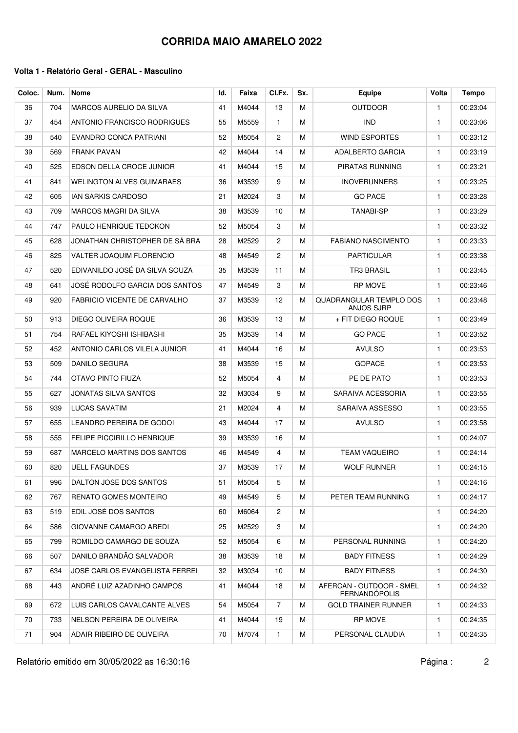### **Volta 1 - Relatório Geral - GERAL - Masculino**

| Coloc. | Num. | Nome                               | ld. | Faixa | CI.Fx.         | Sx. | Equipe                                           | Volta        | <b>Tempo</b> |
|--------|------|------------------------------------|-----|-------|----------------|-----|--------------------------------------------------|--------------|--------------|
| 36     | 704  | <b>MARCOS AURELIO DA SILVA</b>     | 41  | M4044 | 13             | м   | <b>OUTDOOR</b>                                   | 1            | 00:23:04     |
| 37     | 454  | <b>ANTONIO FRANCISCO RODRIGUES</b> | 55  | M5559 | $\mathbf{1}$   | M   | <b>IND</b>                                       | $\mathbf{1}$ | 00:23:06     |
| 38     | 540  | EVANDRO CONCA PATRIANI             | 52  | M5054 | $\overline{2}$ | м   | <b>WIND ESPORTES</b>                             | $\mathbf{1}$ | 00:23:12     |
| 39     | 569  | <b>FRANK PAVAN</b>                 | 42  | M4044 | 14             | M   | <b>ADALBERTO GARCIA</b>                          | 1            | 00:23:19     |
| 40     | 525  | EDSON DELLA CROCE JUNIOR           | 41  | M4044 | 15             | м   | PIRATAS RUNNING                                  | $\mathbf{1}$ | 00:23:21     |
| 41     | 841  | <b>WELINGTON ALVES GUIMARAES</b>   | 36  | M3539 | 9              | м   | <b>INOVERUNNERS</b>                              | $\mathbf{1}$ | 00:23:25     |
| 42     | 605  | <b>JAN SARKIS CARDOSO</b>          | 21  | M2024 | 3              | M   | <b>GO PACE</b>                                   | $\mathbf{1}$ | 00:23:28     |
| 43     | 709  | <b>MARCOS MAGRI DA SILVA</b>       | 38  | M3539 | 10             | M   | TANABI-SP                                        | $\mathbf{1}$ | 00:23:29     |
| 44     | 747  | PAULO HENRIQUE TEDOKON             | 52  | M5054 | 3              | м   |                                                  | $\mathbf{1}$ | 00:23:32     |
| 45     | 628  | JONATHAN CHRISTOPHER DE SÁ BRA     | 28  | M2529 | $\overline{2}$ | M   | <b>FABIANO NASCIMENTO</b>                        | $\mathbf{1}$ | 00:23:33     |
| 46     | 825  | <b>VALTER JOAQUIM FLORENCIO</b>    | 48  | M4549 | 2              | м   | <b>PARTICULAR</b>                                | 1            | 00:23:38     |
| 47     | 520  | EDIVANILDO JOSÉ DA SILVA SOUZA     | 35  | M3539 | 11             | м   | <b>TR3 BRASIL</b>                                | $\mathbf{1}$ | 00:23:45     |
| 48     | 641  | JOSÉ RODOLFO GARCIA DOS SANTOS     | 47  | M4549 | 3              | M   | <b>RP MOVE</b>                                   | $\mathbf{1}$ | 00:23:46     |
| 49     | 920  | FABRICIO VICENTE DE CARVALHO       | 37  | M3539 | 12             | М   | QUADRANGULAR TEMPLO DOS<br><b>ANJOS SJRP</b>     | $\mathbf{1}$ | 00:23:48     |
| 50     | 913  | DIEGO OLIVEIRA ROQUE               | 36  | M3539 | 13             | м   | + FIT DIEGO ROQUE                                | 1            | 00:23:49     |
| 51     | 754  | RAFAEL KIYOSHI ISHIBASHI           | 35  | M3539 | 14             | м   | <b>GO PACE</b>                                   | 1            | 00:23:52     |
| 52     | 452  | ANTONIO CARLOS VILELA JUNIOR       | 41  | M4044 | 16             | м   | <b>AVULSO</b>                                    | $\mathbf{1}$ | 00:23:53     |
| 53     | 509  | DANILO SEGURA                      | 38  | M3539 | 15             | M   | <b>GOPACE</b>                                    | $\mathbf{1}$ | 00:23:53     |
| 54     | 744  | OTAVO PINTO FIUZA                  | 52  | M5054 | 4              | M   | PÉ DE PATO                                       | $\mathbf{1}$ | 00:23:53     |
| 55     | 627  | JONATAS SILVA SANTOS               | 32  | M3034 | 9              | м   | SARAIVA ACESSORIA                                | $\mathbf{1}$ | 00:23:55     |
| 56     | 939  | <b>LUCAS SAVATIM</b>               | 21  | M2024 | $\overline{4}$ | м   | SARAIVA ASSESSO                                  | 1            | 00:23:55     |
| 57     | 655  | LEANDRO PEREIRA DE GODOI           | 43  | M4044 | 17             | м   | <b>AVULSO</b>                                    | 1            | 00:23:58     |
| 58     | 555  | <b>FELIPE PICCIRILLO HENRIQUE</b>  | 39  | M3539 | 16             | м   |                                                  | $\mathbf{1}$ | 00:24:07     |
| 59     | 687  | <b>MARCELO MARTINS DOS SANTOS</b>  | 46  | M4549 | 4              | м   | <b>TEAM VAQUEIRO</b>                             | $\mathbf{1}$ | 00:24:14     |
| 60     | 820  | <b>UELL FAGUNDES</b>               | 37  | M3539 | 17             | М   | <b>WOLF RUNNER</b>                               | 1            | 00:24:15     |
| 61     | 996  | DALTON JOSE DOS SANTOS             | 51  | M5054 | 5              | м   |                                                  | 1            | 00:24:16     |
| 62     | 767  | <b>RENATO GOMES MONTEIRO</b>       | 49  | M4549 | 5              | м   | PETER TEAM RUNNING                               | 1            | 00:24:17     |
| 63     | 519  | EDIL JOSÉ DOS SANTOS               | 60  | M6064 | 2              | м   |                                                  | 1            | 00:24:20     |
| 64     | 586  | GIOVANNE CAMARGO AREDI             | 25  | M2529 | 3              | м   |                                                  | 1            | 00:24:20     |
| 65     | 799  | ROMILDO CAMARGO DE SOUZA           | 52  | M5054 | 6              | м   | PERSONAL RUNNING                                 | 1            | 00:24:20     |
| 66     | 507  | DANILO BRANDÃO SALVADOR            | 38  | M3539 | 18             | м   | <b>BADY FITNESS</b>                              | 1            | 00:24:29     |
| 67     | 634  | JOSÉ CARLOS EVANGELISTA FERREI     | 32  | M3034 | 10             | м   | <b>BADY FITNESS</b>                              | 1            | 00:24:30     |
| 68     | 443  | ANDRÉ LUIZ AZADINHO CAMPOS         | 41  | M4044 | 18             | м   | AFERCAN - OUTDOOR - SMEL<br><b>FERNANDÓPOLIS</b> | 1            | 00:24:32     |
| 69     | 672  | LUIS CARLOS CAVALCANTE ALVES       | 54  | M5054 | $\overline{7}$ | м   | <b>GOLD TRAINER RUNNER</b>                       | 1            | 00:24:33     |
| 70     | 733  | NELSON PEREIRA DE OLIVEIRA         | 41  | M4044 | 19             | м   | <b>RP MOVE</b>                                   | 1            | 00:24:35     |
| 71     | 904  | ADAIR RIBEIRO DE OLIVEIRA          | 70  | M7074 | 1              | м   | PERSONAL CLAUDIA                                 | 1            | 00:24:35     |

Relatório emitido em 30/05/2022 as 16:30:16 <br>
2 Página : 2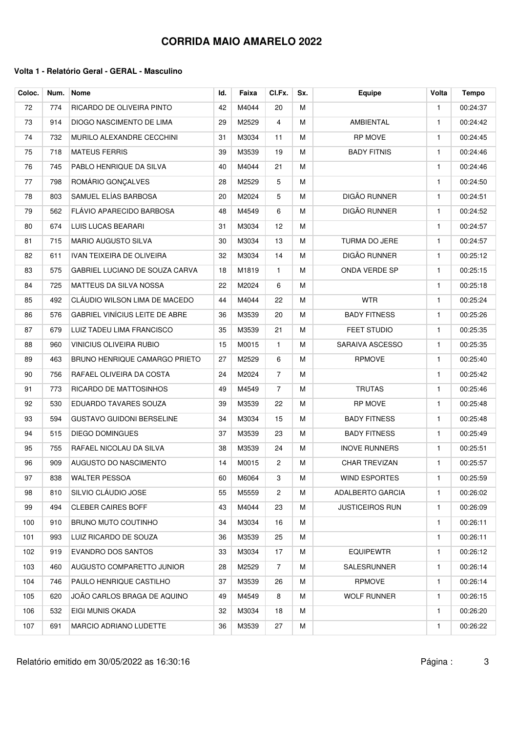| Coloc. | Num. | <b>Nome</b>                      | Id. | Faixa | CI.Fx.         | Sx. | <b>Equipe</b>          | Volta        | <b>Tempo</b> |
|--------|------|----------------------------------|-----|-------|----------------|-----|------------------------|--------------|--------------|
| 72     | 774  | RICARDO DE OLIVEIRA PINTO        | 42  | M4044 | 20             | м   |                        | $\mathbf{1}$ | 00:24:37     |
| 73     | 914  | DIOGO NASCIMENTO DE LIMA         | 29  | M2529 | 4              | M   | <b>AMBIENTAL</b>       | $\mathbf{1}$ | 00:24:42     |
| 74     | 732  | MURILO ALEXANDRE CECCHINI        | 31  | M3034 | 11             | M   | <b>RP MOVE</b>         | $\mathbf{1}$ | 00:24:45     |
| 75     | 718  | <b>MATEUS FERRIS</b>             | 39  | M3539 | 19             | м   | <b>BADY FITNIS</b>     | $\mathbf{1}$ | 00:24:46     |
| 76     | 745  | PABLO HENRIQUE DA SILVA          | 40  | M4044 | 21             | м   |                        | $\mathbf{1}$ | 00:24:46     |
| 77     | 798  | ROMÁRIO GONÇALVES                | 28  | M2529 | 5              | м   |                        | $\mathbf{1}$ | 00:24:50     |
| 78     | 803  | SAMUEL ELÍAS BARBOSA             | 20  | M2024 | 5              | м   | DIGÃO RUNNER           | $\mathbf{1}$ | 00:24:51     |
| 79     | 562  | FLÁVIO APARECIDO BARBOSA         | 48  | M4549 | 6              | M   | DIGÃO RUNNER           | $\mathbf{1}$ | 00:24:52     |
| 80     | 674  | LUIS LUCAS BEARARI               | 31  | M3034 | 12             | M   |                        | $\mathbf{1}$ | 00:24:57     |
| 81     | 715  | <b>MARIO AUGUSTO SILVA</b>       | 30  | M3034 | 13             | м   | TURMA DO JERE          | $\mathbf{1}$ | 00:24:57     |
| 82     | 611  | <b>IVAN TEIXEIRA DE OLIVEIRA</b> | 32  | M3034 | 14             | м   | DIGÃO RUNNER           | $\mathbf{1}$ | 00:25:12     |
| 83     | 575  | GABRIEL LUCIANO DE SOUZA CARVA   | 18  | M1819 | $\mathbf{1}$   | м   | ONDA VERDE SP          | $\mathbf{1}$ | 00:25:15     |
| 84     | 725  | <b>MATTEUS DA SILVA NOSSA</b>    | 22  | M2024 | 6              | м   |                        | $\mathbf{1}$ | 00:25:18     |
| 85     | 492  | CLÁUDIO WILSON LIMA DE MACEDO    | 44  | M4044 | 22             | M   | <b>WTR</b>             | $\mathbf{1}$ | 00:25:24     |
| 86     | 576  | GABRIEL VINÍCIUS LEITE DE ABRE   | 36  | M3539 | 20             | M   | <b>BADY FITNESS</b>    | $\mathbf{1}$ | 00:25:26     |
| 87     | 679  | LUIZ TADEU LIMA FRANCISCO        | 35  | M3539 | 21             | м   | <b>FEET STUDIO</b>     | $\mathbf{1}$ | 00:25:35     |
| 88     | 960  | <b>VINICIUS OLIVEIRA RUBIO</b>   | 15  | M0015 | $\mathbf{1}$   | м   | SARAIVA ASCESSO        | $\mathbf{1}$ | 00:25:35     |
| 89     | 463  | BRUNO HENRIQUE CAMARGO PRIETO    | 27  | M2529 | 6              | м   | <b>RPMOVE</b>          | $\mathbf{1}$ | 00:25:40     |
| 90     | 756  | RAFAEL OLIVEIRA DA COSTA         | 24  | M2024 | $\overline{7}$ | м   |                        | $\mathbf{1}$ | 00:25:42     |
| 91     | 773  | RICARDO DE MATTOSINHOS           | 49  | M4549 | $\overline{7}$ | м   | <b>TRUTAS</b>          | $\mathbf{1}$ | 00:25:46     |
| 92     | 530  | EDUARDO TAVARES SOUZA            | 39  | M3539 | 22             | м   | <b>RP MOVE</b>         | $\mathbf{1}$ | 00:25:48     |
| 93     | 594  | <b>GUSTAVO GUIDONI BERSELINE</b> | 34  | M3034 | 15             | м   | <b>BADY FITNESS</b>    | $\mathbf{1}$ | 00:25:48     |
| 94     | 515  | DIEGO DOMINGUES                  | 37  | M3539 | 23             | м   | <b>BADY FITNESS</b>    | $\mathbf{1}$ | 00:25:49     |
| 95     | 755  | RAFAEL NICOLAU DA SILVA          | 38  | M3539 | 24             | м   | <b>INOVE RUNNERS</b>   | $\mathbf{1}$ | 00:25:51     |
| 96     | 909  | AUGUSTO DO NASCIMENTO            | 14  | M0015 | $\overline{2}$ | м   | <b>CHAR TREVIZAN</b>   | $\mathbf{1}$ | 00:25:57     |
| 97     | 838  | <b>WALTER PESSOA</b>             | 60  | M6064 | 3              | М   | WIND ESPORTES          | 1            | 00:25:59     |
| 98     | 810  | SILVIO CLÁUDIO JOSE              | 55  | M5559 | 2              | м   | ADALBERTO GARCIA       | $\mathbf{1}$ | 00:26:02     |
| 99     | 494  | <b>CLEBER CAIRES BOFF</b>        | 43  | M4044 | 23             | м   | <b>JUSTICEIROS RUN</b> | $\mathbf{1}$ | 00:26:09     |
| 100    | 910  | <b>BRUNO MUTO COUTINHO</b>       | 34  | M3034 | 16             | м   |                        | $\mathbf{1}$ | 00:26:11     |
| 101    | 993  | LUIZ RICARDO DE SOUZA            | 36  | M3539 | 25             | м   |                        | $\mathbf{1}$ | 00:26:11     |
| 102    | 919  | EVANDRO DOS SANTOS               | 33  | M3034 | 17             | м   | <b>EQUIPEWTR</b>       | $\mathbf{1}$ | 00:26:12     |
| 103    | 460  | AUGUSTO COMPARETTO JUNIOR        | 28  | M2529 | $\overline{7}$ | м   | SALESRUNNER            | $\mathbf{1}$ | 00:26:14     |
| 104    | 746  | PAULO HENRIQUE CASTILHO          | 37  | M3539 | 26             | м   | <b>RPMOVE</b>          | $\mathbf{1}$ | 00:26:14     |
| 105    | 620  | JOÃO CARLOS BRAGA DE AQUINO      | 49  | M4549 | 8              | м   | <b>WOLF RUNNER</b>     | $\mathbf{1}$ | 00:26:15     |
| 106    | 532  | EIGI MUNIS OKADA                 | 32  | M3034 | 18             | м   |                        | $\mathbf{1}$ | 00:26:20     |
| 107    | 691  | MARCIO ADRIANO LUDETTE           | 36  | M3539 | 27             | М   |                        | $\mathbf{1}$ | 00:26:22     |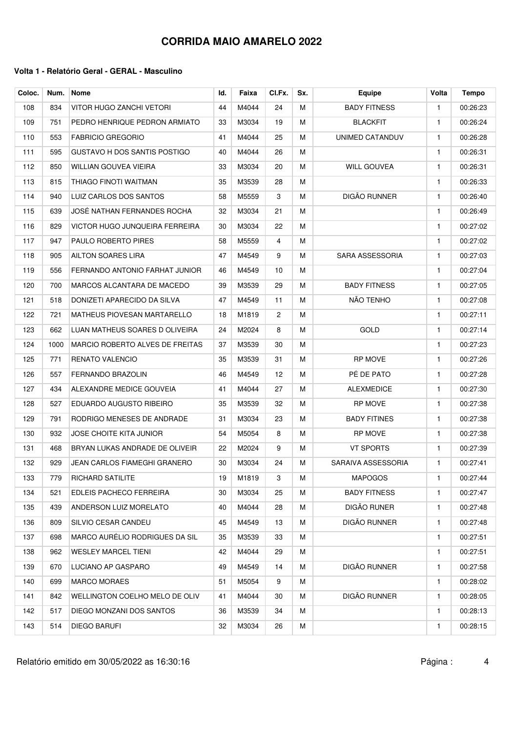| Coloc. | Num. | <b>Nome</b>                         | Id. | Faixa    | CI.Fx.                | Sx. | <b>Equipe</b>       | Volta        | <b>Tempo</b> |
|--------|------|-------------------------------------|-----|----------|-----------------------|-----|---------------------|--------------|--------------|
| 108    | 834  | VITOR HUGO ZANCHI VETORI            | 44  | M4044    | 24                    | м   | <b>BADY FITNESS</b> | $\mathbf{1}$ | 00:26:23     |
| 109    | 751  | PEDRO HENRIQUE PEDRON ARMIATO       | 33  | M3034    | 19                    | м   | <b>BLACKFIT</b>     | $\mathbf{1}$ | 00:26:24     |
| 110    | 553  | <b>FABRICIO GREGORIO</b>            | 41  | M4044    | 25                    | M   | UNIMED CATANDUV     | $\mathbf{1}$ | 00:26:28     |
| 111    | 595  | <b>GUSTAVO H DOS SANTIS POSTIGO</b> | 40  | M4044    | 26                    | M   |                     | $\mathbf{1}$ | 00:26:31     |
| 112    | 850  | WILLIAN GOUVEA VIEIRA               | 33  | M3034    | 20                    | м   | <b>WILL GOUVEA</b>  | $\mathbf{1}$ | 00:26:31     |
| 113    | 815  | THIAGO FINOTI WAITMAN               | 35  | M3539    | 28                    | м   |                     | $\mathbf{1}$ | 00:26:33     |
| 114    | 940  | LUIZ CARLOS DOS SANTOS              | 58  | M5559    | 3                     | м   | DIGÃO RUNNER        | $\mathbf{1}$ | 00:26:40     |
| 115    | 639  | JOSÉ NATHAN FERNANDES ROCHA         | 32  | M3034    | 21                    | м   |                     | $\mathbf{1}$ | 00:26:49     |
| 116    | 829  | VICTOR HUGO JUNQUEIRA FERREIRA      | 30  | M3034    | 22                    | M   |                     | $\mathbf{1}$ | 00:27:02     |
| 117    | 947  | PAULO ROBERTO PIRES                 | 58  | M5559    | $\overline{4}$        | м   |                     | $\mathbf{1}$ | 00:27:02     |
| 118    | 905  | AILTON SOARES LIRA                  | 47  | M4549    | 9                     | м   | SARA ASSESSORIA     | $\mathbf{1}$ | 00:27:03     |
| 119    | 556  | FERNANDO ANTONIO FARHAT JUNIOR      | 46  | M4549    | 10                    | м   |                     | $\mathbf{1}$ | 00:27:04     |
| 120    | 700  | MARCOS ALCANTARA DE MACEDO          | 39  | M3539    | 29                    | м   | <b>BADY FITNESS</b> | 1            | 00:27:05     |
| 121    | 518  | DONIZETI APARECIDO DA SILVA         | 47  | M4549    | 11                    | м   | NÃO TENHO           | $\mathbf{1}$ | 00:27:08     |
| 122    | 721  | <b>MATHEUS PIOVESAN MARTARELLO</b>  | 18  | M1819    | $\mathbf{2}^{\prime}$ | M   |                     | $\mathbf{1}$ | 00:27:11     |
| 123    | 662  | LUAN MATHEUS SOARES D OLIVEIRA      | 24  | M2024    | 8                     | M   | <b>GOLD</b>         | $\mathbf{1}$ | 00:27:14     |
| 124    | 1000 | MARCIO ROBERTO ALVES DE FREITAS     | 37  | M3539    | 30                    | M   |                     | $\mathbf{1}$ | 00:27:23     |
| 125    | 771  | RENATO VALENCIO                     | 35  | M3539    | 31                    | м   | <b>RP MOVE</b>      | $\mathbf{1}$ | 00:27:26     |
| 126    | 557  | FERNANDO BRAZOLIN                   | 46  | M4549    | 12                    | м   | PÉ DE PATO          | $\mathbf{1}$ | 00:27:28     |
| 127    | 434  | ALEXANDRE MEDICE GOUVEIA            | 41  | M4044    | 27                    | м   | <b>ALEXMEDICE</b>   | $\mathbf{1}$ | 00:27:30     |
| 128    | 527  | EDUARDO AUGUSTO RIBEIRO             | 35  | M3539    | 32                    | м   | <b>RP MOVE</b>      | $\mathbf{1}$ | 00:27:38     |
| 129    | 791  | RODRIGO MENESES DE ANDRADE          | 31  | M3034    | 23                    | M   | <b>BADY FITINES</b> | $\mathbf{1}$ | 00:27:38     |
| 130    | 932  | JOSE CHOITE KITA JUNIOR             | 54  | M5054    | 8                     | м   | <b>RP MOVE</b>      | $\mathbf{1}$ | 00:27:38     |
| 131    | 468  | BRYAN LUKAS ANDRADE DE OLIVEIR      | 22  | M2024    | 9                     | м   | <b>VT SPORTS</b>    | $\mathbf{1}$ | 00:27:39     |
| 132    | 929  | JEAN CARLOS FIAMEGHI GRANERO        | 30  | M3034    | 24                    | м   | SARAIVA ASSESSORIA  | $\mathbf{1}$ | 00:27:41     |
| 133    | 779  | RICHARD SATILITE                    |     | 19 M1819 | $\mathbf{3}$          | M   | <b>MAPOGOS</b>      | 1            | 00:27:44     |
| 134    | 521  | EDLEIS PACHECO FERREIRA             | 30  | M3034    | 25                    | м   | <b>BADY FITNESS</b> | $\mathbf{1}$ | 00:27:47     |
| 135    | 439  | ANDERSON LUIZ MORELATO              | 40  | M4044    | 28                    | м   | DIGÃO RUNER         | $\mathbf{1}$ | 00:27:48     |
| 136    | 809  | SILVIO CESAR CANDEU                 | 45  | M4549    | 13                    | м   | DIGÃO RUNNER        | $\mathbf{1}$ | 00:27:48     |
| 137    | 698  | MARCO AURÉLIO RODRIGUES DA SIL      | 35  | M3539    | 33                    | м   |                     | $\mathbf{1}$ | 00:27:51     |
| 138    | 962  | <b>WESLEY MARCEL TIENI</b>          | 42  | M4044    | 29                    | м   |                     | 1            | 00:27:51     |
| 139    | 670  | LUCIANO AP GASPARO                  | 49  | M4549    | 14                    | м   | DIGÃO RUNNER        | $\mathbf{1}$ | 00:27:58     |
| 140    | 699  | <b>MARCO MORAES</b>                 | 51  | M5054    | 9                     | м   |                     | $\mathbf{1}$ | 00:28:02     |
| 141    | 842  | WELLINGTON COELHO MELO DE OLIV      | 41  | M4044    | 30                    | м   | DIGÃO RUNNER        | $\mathbf{1}$ | 00:28:05     |
| 142    | 517  | DIEGO MONZANI DOS SANTOS            | 36  | M3539    | 34                    | м   |                     | $\mathbf{1}$ | 00:28:13     |
| 143    | 514  | DIEGO BARUFI                        | 32  | M3034    | 26                    | М   |                     | $\mathbf{1}$ | 00:28:15     |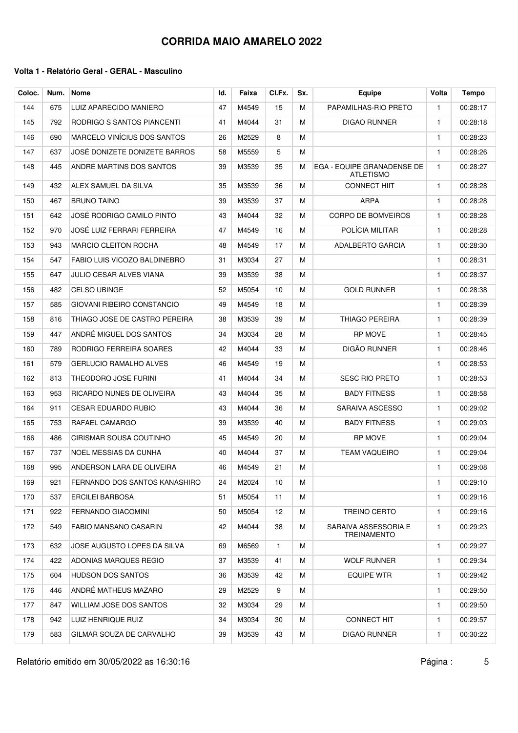| Coloc. | Num. | <b>Nome</b>                   | Id. | Faixa | CI.Fx.       | Sx. | Equipe                                         | Volta        | <b>Tempo</b> |
|--------|------|-------------------------------|-----|-------|--------------|-----|------------------------------------------------|--------------|--------------|
| 144    | 675  | LUIZ APARECIDO MANIERO        | 47  | M4549 | 15           | м   | PAPAMILHAS-RIO PRETO                           | $\mathbf{1}$ | 00:28:17     |
| 145    | 792  | RODRIGO S SANTOS PIANCENTI    | 41  | M4044 | 31           | м   | <b>DIGAO RUNNER</b>                            | $\mathbf{1}$ | 00:28:18     |
| 146    | 690  | MARCELO VINÍCIUS DOS SANTOS   | 26  | M2529 | 8            | м   |                                                | $\mathbf{1}$ | 00:28:23     |
| 147    | 637  | JOSÉ DONIZETE DONIZETE BARROS | 58  | M5559 | 5            | м   |                                                | $\mathbf{1}$ | 00:28:26     |
| 148    | 445  | ANDRÉ MARTINS DOS SANTOS      | 39  | M3539 | 35           | м   | EGA - EQUIPE GRANADENSE DE<br><b>ATLETISMO</b> | $\mathbf{1}$ | 00:28:27     |
| 149    | 432  | ALEX SAMUEL DA SILVA          | 35  | M3539 | 36           | М   | <b>CONNECT HIIT</b>                            | $\mathbf{1}$ | 00:28:28     |
| 150    | 467  | <b>BRUNO TAINO</b>            | 39  | M3539 | 37           | м   | <b>ARPA</b>                                    | $\mathbf{1}$ | 00:28:28     |
| 151    | 642  | JOSÉ RODRIGO CAMILO PINTO     | 43  | M4044 | 32           | м   | <b>CORPO DE BOMVEIROS</b>                      | $\mathbf{1}$ | 00:28:28     |
| 152    | 970  | JOSÉ LUIZ FERRARI FERREIRA    | 47  | M4549 | 16           | м   | POLÍCIA MILITAR                                | $\mathbf{1}$ | 00:28:28     |
| 153    | 943  | <b>MARCIO CLEITON ROCHA</b>   | 48  | M4549 | 17           | м   | ADALBERTO GARCIA                               | $\mathbf{1}$ | 00:28:30     |
| 154    | 547  | FABIO LUIS VICOZO BALDINEBRO  | 31  | M3034 | 27           | м   |                                                | $\mathbf{1}$ | 00:28:31     |
| 155    | 647  | JULIO CESAR ALVES VIANA       | 39  | M3539 | 38           | м   |                                                | $\mathbf{1}$ | 00:28:37     |
| 156    | 482  | <b>CELSO UBINGE</b>           | 52  | M5054 | 10           | м   | <b>GOLD RUNNER</b>                             | $\mathbf{1}$ | 00:28:38     |
| 157    | 585  | GIOVANI RIBEIRO CONSTANCIO    | 49  | M4549 | 18           | м   |                                                | $\mathbf{1}$ | 00:28:39     |
| 158    | 816  | THIAGO JOSE DE CASTRO PEREIRA | 38  | M3539 | 39           | M   | <b>THIAGO PEREIRA</b>                          | $\mathbf{1}$ | 00:28:39     |
| 159    | 447  | ANDRÉ MIGUEL DOS SANTOS       | 34  | M3034 | 28           | м   | <b>RP MOVE</b>                                 | $\mathbf{1}$ | 00:28:45     |
| 160    | 789  | RODRIGO FERREIRA SOARES       | 42  | M4044 | 33           | м   | DIGÃO RUNNER                                   | $\mathbf{1}$ | 00:28:46     |
| 161    | 579  | <b>GERLUCIO RAMALHO ALVES</b> | 46  | M4549 | 19           | м   |                                                | $\mathbf{1}$ | 00:28:53     |
| 162    | 813  | THEODORO JOSÉ FURINI          | 41  | M4044 | 34           | м   | <b>SESC RIO PRETO</b>                          | 1            | 00:28:53     |
| 163    | 953  | RICARDO NUNES DE OLIVEIRA     | 43  | M4044 | 35           | м   | <b>BADY FITNESS</b>                            | $\mathbf{1}$ | 00:28:58     |
| 164    | 911  | <b>CESAR EDUARDO RUBIO</b>    | 43  | M4044 | 36           | M   | SARAIVA ASCESSO                                | $\mathbf{1}$ | 00:29:02     |
| 165    | 753  | RAFAEL CAMARGO                | 39  | M3539 | 40           | м   | <b>BADY FITNESS</b>                            | $\mathbf{1}$ | 00:29:03     |
| 166    | 486  | CIRISMAR SOUSA COUTINHO       | 45  | M4549 | 20           | м   | <b>RP MOVE</b>                                 | $\mathbf{1}$ | 00:29:04     |
| 167    | 737  | NOEL MESSIAS DA CUNHA         | 40  | M4044 | 37           | м   | <b>TEAM VAQUEIRO</b>                           | $\mathbf{1}$ | 00:29:04     |
| 168    | 995  | ANDERSON LARA DE OLIVEIRA     | 46  | M4549 | 21           | м   |                                                | $\mathbf{1}$ | 00:29:08     |
| 169    | 921  | FERNANDO DOS SANTOS KANASHIRO | 24  | M2024 | 10           | м   |                                                | $\mathbf{1}$ | 00:29:10     |
| 170    | 537  | ERCILEI BARBOSA               | 51  | M5054 | 11           | м   |                                                | $\mathbf{1}$ | 00:29:16     |
| 171    | 922  | FERNANDO GIACOMINI            | 50  | M5054 | 12           | м   | <b>TREINO CERTO</b>                            | $\mathbf{1}$ | 00:29:16     |
| 172    | 549  | FABIO MANSANO CASARIN         | 42  | M4044 | 38           | м   | SARAIVA ASSESSORIA E<br><b>TREINAMENTO</b>     | $\mathbf{1}$ | 00:29:23     |
| 173    | 632  | JOSE AUGUSTO LOPES DA SILVA   | 69  | M6569 | $\mathbf{1}$ | м   |                                                | 1            | 00:29:27     |
| 174    | 422  | ADONIAS MARQUES REGIO         | 37  | M3539 | 41           | м   | <b>WOLF RUNNER</b>                             | $\mathbf{1}$ | 00:29:34     |
| 175    | 604  | HUDSON DOS SANTOS             | 36  | M3539 | 42           | м   | <b>EQUIPE WTR</b>                              | 1            | 00:29:42     |
| 176    | 446  | ANDRE MATHEUS MAZARO          | 29  | M2529 | 9            | м   |                                                | 1            | 00:29:50     |
| 177    | 847  | WILLIAM JOSE DOS SANTOS       | 32  | M3034 | 29           | м   |                                                | $\mathbf{1}$ | 00:29:50     |
| 178    | 942  | LUIZ HENRIQUE RUIZ            | 34  | M3034 | 30           | м   | <b>CONNECT HIT</b>                             | 1            | 00:29:57     |
| 179    | 583  | GILMAR SOUZA DE CARVALHO      | 39  | M3539 | 43           | м   | DIGÃO RUNNER                                   | 1            | 00:30:22     |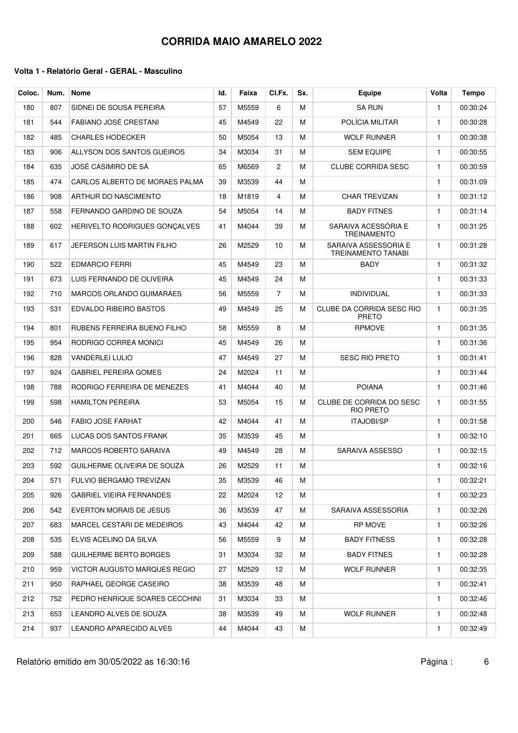| Coloc. | Num. | <b>Nome</b>                     | Id. | Faixa | CI.Fx.                | Sx. | Equipe                                     | Volta        | <b>Tempo</b> |
|--------|------|---------------------------------|-----|-------|-----------------------|-----|--------------------------------------------|--------------|--------------|
| 180    | 807  | SIDNEI DE SOUSA PEREIRA         | 57  | M5559 | 6                     | м   | <b>SA RUN</b>                              | $\mathbf{1}$ | 00:30:24     |
| 181    | 544  | FABIANO JOSÉ CRESTANI           | 45  | M4549 | 22                    | м   | POLÍCIA MILITAR                            | $\mathbf{1}$ | 00:30:28     |
| 182    | 485  | <b>CHARLES HODECKER</b>         | 50  | M5054 | 13                    | М   | <b>WOLF RUNNER</b>                         | $\mathbf{1}$ | 00:30:38     |
| 183    | 906  | ALLYSON DOS SANTOS GUEIROS      | 34  | M3034 | 31                    | м   | <b>SEM EQUIPE</b>                          | $\mathbf{1}$ | 00:30:55     |
| 184    | 635  | JOSÉ CASIMIRO DE SÁ             | 65  | M6569 | $\mathbf{2}^{\prime}$ | м   | <b>CLUBE CORRIDA SESC</b>                  | $\mathbf{1}$ | 00:30:59     |
| 185    | 474  | CARLOS ALBERTO DE MORAES PALMA  | 39  | M3539 | 44                    | м   |                                            | 1            | 00:31:09     |
| 186    | 908  | ARTHUR DO NASCIMENTO            | 18  | M1819 | 4                     | м   | <b>CHAR TREVIZAN</b>                       | $\mathbf{1}$ | 00:31:12     |
| 187    | 558  | FERNANDO GARDINO DE SOUZA       | 54  | M5054 | 14                    | м   | <b>BADY FITNES</b>                         | $\mathbf{1}$ | 00:31:14     |
| 188    | 602  | HERIVELTO RODRIGUES GONCALVES   | 41  | M4044 | 39                    | м   | SARAIVA ACESSÓRIA E<br><b>TREINAMENTO</b>  | $\mathbf{1}$ | 00:31:25     |
| 189    | 617  | JEFERSON LUIS MARTIN FILHO      | 26  | M2529 | 10                    | м   | SARAIVA ASSESSORIA E<br>TREINAMENTO TANABI | $\mathbf{1}$ | 00:31:28     |
| 190    | 522  | <b>EDMARCIO FERRI</b>           | 45  | M4549 | 23                    | м   | BADY                                       | $\mathbf{1}$ | 00:31:32     |
| 191    | 673  | LUIS FERNANDO DE OLIVEIRA       | 45  | M4549 | 24                    | M   |                                            | $\mathbf{1}$ | 00:31:33     |
| 192    | 710  | MARCOS ORLANDO GUIMARÃES        | 56  | M5559 | $\overline{7}$        | м   | <b>INDIVIDUAL</b>                          | $\mathbf{1}$ | 00:31:33     |
| 193    | 531  | <b>EDVALDO RIBEIRO BASTOS</b>   | 49  | M4549 | 25                    | М   | CLUBE DA CORRIDA SESC RIO<br><b>PRETO</b>  | $\mathbf{1}$ | 00:31:35     |
| 194    | 801  | RUBENS FERREIRA BUENO FILHO     | 58  | M5559 | 8                     | M   | <b>RPMOVE</b>                              | $\mathbf{1}$ | 00:31:35     |
| 195    | 954  | RODRIGO CORREA MONICI           | 45  | M4549 | 26                    | м   |                                            | $\mathbf{1}$ | 00:31:36     |
| 196    | 828  | <b>VANDERLEI LULIO</b>          | 47  | M4549 | 27                    | M   | <b>SESC RIO PRETO</b>                      | $\mathbf{1}$ | 00:31:41     |
| 197    | 924  | <b>GABRIEL PEREIRA GOMES</b>    | 24  | M2024 | 11                    | м   |                                            | $\mathbf{1}$ | 00:31:44     |
| 198    | 788  | RODRIGO FERREIRA DE MENEZES     | 41  | M4044 | 40                    | м   | <b>POIANA</b>                              | $\mathbf{1}$ | 00:31:46     |
| 199    | 598  | <b>HAMILTON PEREIRA</b>         | 53  | M5054 | 15                    | М   | CLUBE DE CORRIDA DO SESC<br>RIO PRETO      | $\mathbf{1}$ | 00:31:55     |
| 200    | 546  | <b>FABIO JOSE FARHAT</b>        | 42  | M4044 | 41                    | м   | <b>ITAJOBI/SP</b>                          | $\mathbf{1}$ | 00:31:58     |
| 201    | 665  | LUCAS DOS SANTOS FRANK          | 35  | M3539 | 45                    | м   |                                            | $\mathbf{1}$ | 00:32:10     |
| 202    | 712  | <b>MARCOS ROBERTO SARAIVA</b>   | 49  | M4549 | 28                    | м   | SARAIVA ASSESSO                            | $\mathbf{1}$ | 00:32:15     |
| 203    | 592  | GUILHERME OLIVEIRA DE SOUZA     | 26  | M2529 | 11                    | M   |                                            | $\mathbf{1}$ | 00:32:16     |
| 204    | 571  | FULVIO BERGAMO TREVIZAN         | 35  | M3539 | 46                    | м   |                                            | 1            | 00:32:21     |
| 205    | 926  | <b>GABRIEL VIEIRA FERNANDES</b> | 22  | M2024 | 12                    | м   |                                            | 1            | 00:32:23     |
| 206    | 542  | EVERTON MORAIS DE JESUS         | 36  | M3539 | 47                    | м   | SARAIVA ASSESSORIA                         | $\mathbf{1}$ | 00:32:26     |
| 207    | 683  | MARCEL CESTARI DE MEDEIROS      | 43  | M4044 | 42                    | м   | RP MOVE                                    | $\mathbf{1}$ | 00:32:26     |
| 208    | 535  | ELVIS ACELINO DA SILVA          | 56  | M5559 | 9                     | м   | <b>BADY FITNESS</b>                        | $\mathbf{1}$ | 00:32:28     |
| 209    | 588  | <b>GUILHERME BERTO BORGES</b>   | 31  | M3034 | 32                    | м   | <b>BADY FITNES</b>                         | $\mathbf{1}$ | 00:32:28     |
| 210    | 959  | VICTOR AUGUSTO MARQUES REGIO    | 27  | M2529 | 12                    | м   | <b>WOLF RUNNER</b>                         | $\mathbf{1}$ | 00:32:35     |
| 211    | 950  | RAPHAEL GEORGE CASEIRO          | 38  | M3539 | 48                    | м   |                                            | $\mathbf{1}$ | 00:32:41     |
| 212    | 752  | PEDRO HENRIQUE SOARES CECCHINI  | 31  | M3034 | 33                    | м   |                                            | $\mathbf{1}$ | 00:32:46     |
| 213    | 653  | LEANDRO ALVES DE SOUZA          | 38  | M3539 | 49                    | м   | <b>WOLF RUNNER</b>                         | $\mathbf{1}$ | 00:32:48     |
| 214    | 937  | LEANDRO APARECIDO ALVES         | 44  | M4044 | 43                    | м   |                                            | $\mathbf{1}$ | 00:32:49     |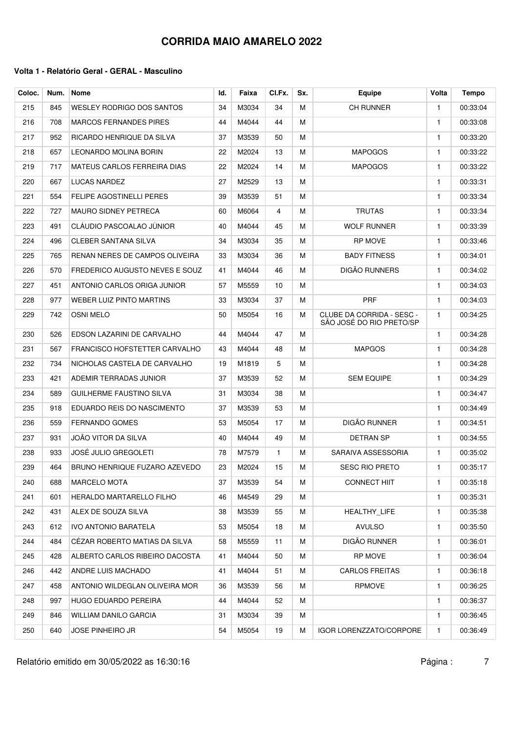| Coloc. | Num. | <b>Nome</b>                          | ld. | Faixa | CI.Fx.       | Sx. | Equipe                                                | Volta        | <b>Tempo</b> |
|--------|------|--------------------------------------|-----|-------|--------------|-----|-------------------------------------------------------|--------------|--------------|
| 215    | 845  | WESLEY RODRIGO DOS SANTOS            | 34  | M3034 | 34           | м   | CH RUNNER                                             | 1            | 00:33:04     |
| 216    | 708  | <b>MARCOS FERNANDES PIRES</b>        | 44  | M4044 | 44           | м   |                                                       | 1            | 00:33:08     |
| 217    | 952  | RICARDO HENRIQUE DA SILVA            | 37  | M3539 | 50           | М   |                                                       | $\mathbf{1}$ | 00:33:20     |
| 218    | 657  | LEONARDO MOLINA BORIN                | 22  | M2024 | 13           | M   | <b>MAPOGOS</b>                                        | 1            | 00:33:22     |
| 219    | 717  | MATEUS CARLOS FERREIRA DIAS          | 22  | M2024 | 14           | М   | <b>MAPOGOS</b>                                        | 1            | 00:33:22     |
| 220    | 667  | LUCAS NARDEZ                         | 27  | M2529 | 13           | м   |                                                       | 1            | 00:33:31     |
| 221    | 554  | <b>FELIPE AGOSTINELLI PERES</b>      | 39  | M3539 | 51           | М   |                                                       | 1            | 00:33:34     |
| 222    | 727  | <b>MAURO SIDNEY PETRECA</b>          | 60  | M6064 | 4            | М   | <b>TRUTAS</b>                                         | 1            | 00:33:34     |
| 223    | 491  | CLÁUDIO PASCOALAO JÚNIOR             | 40  | M4044 | 45           | М   | <b>WOLF RUNNER</b>                                    | 1            | 00:33:39     |
| 224    | 496  | <b>CLEBER SANTANA SILVA</b>          | 34  | M3034 | 35           | м   | <b>RP MOVE</b>                                        | 1            | 00:33:46     |
| 225    | 765  | RENAN NERES DE CAMPOS OLIVEIRA       | 33  | M3034 | 36           | м   | <b>BADY FITNESS</b>                                   | 1            | 00:34:01     |
| 226    | 570  | FREDERICO AUGUSTO NEVES E SOUZ       | 41  | M4044 | 46           | м   | DIGÃO RUNNERS                                         | 1            | 00:34:02     |
| 227    | 451  | ANTONIO CARLOS ORIGA JUNIOR          | 57  | M5559 | 10           | М   |                                                       | 1            | 00:34:03     |
| 228    | 977  | WEBER LUIZ PINTO MARTINS             | 33  | M3034 | 37           | м   | <b>PRF</b>                                            | 1            | 00:34:03     |
| 229    | 742  | <b>OSNI MELO</b>                     | 50  | M5054 | 16           | М   | CLUBE DA CORRIDA - SESC -<br>SÃO JOSÉ DO RIO PRETO/SP | 1            | 00:34:25     |
| 230    | 526  | EDSON LAZARINI DE CARVALHO           | 44  | M4044 | 47           | м   |                                                       | 1            | 00:34:28     |
| 231    | 567  | FRANCISCO HOFSTETTER CARVALHO        | 43  | M4044 | 48           | м   | <b>MAPGOS</b>                                         | 1            | 00:34:28     |
| 232    | 734  | NICHOLAS CASTELA DE CARVALHO         | 19  | M1819 | 5            | М   |                                                       | 1            | 00:34:28     |
| 233    | 421  | ADEMIR TERRADAS JUNIOR               | 37  | M3539 | 52           | М   | <b>SEM EQUIPE</b>                                     | 1            | 00:34:29     |
| 234    | 589  | GUILHERME FAUSTINO SILVA             | 31  | M3034 | 38           | М   |                                                       | 1            | 00:34:47     |
| 235    | 918  | EDUARDO REIS DO NASCIMENTO           | 37  | M3539 | 53           | м   |                                                       | 1            | 00:34:49     |
| 236    | 559  | <b>FERNANDO GOMES</b>                | 53  | M5054 | 17           | М   | DIGÃO RUNNER                                          | 1            | 00:34:51     |
| 237    | 931  | JOÃO VITOR DA SILVA                  | 40  | M4044 | 49           | м   | <b>DETRAN SP</b>                                      | 1            | 00:34:55     |
| 238    | 933  | <b>JOSÉ JULIO GREGOLETI</b>          | 78  | M7579 | $\mathbf{1}$ | м   | SARAIVA ASSESSORIA                                    | 1            | 00:35:02     |
| 239    | 464  | <b>BRUNO HENRIQUE FUZARO AZEVEDO</b> | 23  | M2024 | 15           | м   | <b>SESC RIO PRETO</b>                                 | 1            | 00:35:17     |
| 240    | 688  | <b>MARCELO MOTA</b>                  | 37  | M3539 | 54           | М   | <b>CONNECT HIIT</b>                                   | 1            | 00:35:18     |
| 241    | 601  | HERALDO MARTARELLO FILHO             | 46  | M4549 | 29           | м   |                                                       | 1            | 00:35:31     |
| 242    | 431  | ALEX DE SOUZA SILVA                  | 38  | M3539 | 55           | м   | <b>HEALTHY LIFE</b>                                   | 1            | 00:35:38     |
| 243    | 612  | <b>IVO ANTONIO BARATELA</b>          | 53  | M5054 | 18           | м   | <b>AVULSO</b>                                         | 1            | 00:35:50     |
| 244    | 484  | CÉZAR ROBERTO MATIAS DA SILVA        | 58  | M5559 | 11           | м   | DIGÃO RUNNER                                          | 1            | 00:36:01     |
| 245    | 428  | ALBERTO CARLOS RIBEIRO DACOSTA       | 41  | M4044 | 50           | м   | RP MOVE                                               | 1            | 00:36:04     |
| 246    | 442  | ANDRE LUIS MACHADO                   | 41  | M4044 | 51           | м   | <b>CARLOS FREITAS</b>                                 | 1            | 00:36:18     |
| 247    | 458  | ANTONIO WILDEGLAN OLIVEIRA MOR       | 36  | M3539 | 56           | м   | <b>RPMOVE</b>                                         | 1            | 00:36:25     |
| 248    | 997  | HUGO EDUARDO PEREIRA                 | 44  | M4044 | 52           | м   |                                                       | 1            | 00:36:37     |
| 249    | 846  | WILLIAM DANILO GARCIA                | 31  | M3034 | 39           | м   |                                                       | 1            | 00:36:45     |
| 250    | 640  | <b>JOSE PINHEIRO JR</b>              | 54  | M5054 | 19           | M   | IGOR LORENZZATO/CORPORE                               | 1            | 00:36:49     |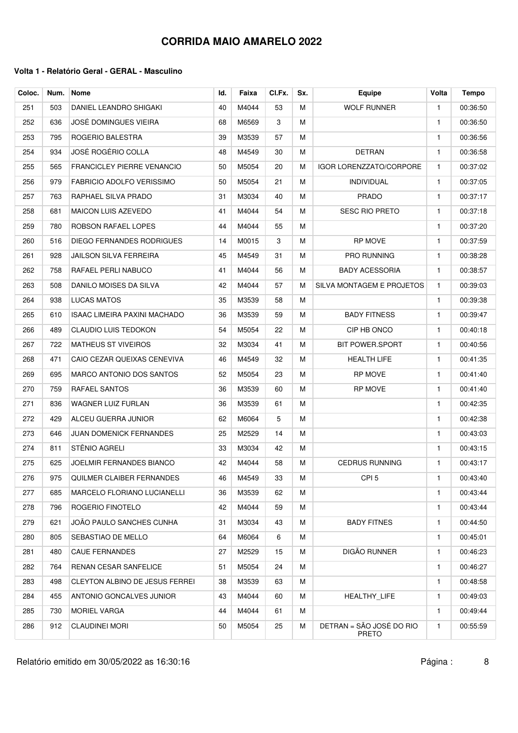| Coloc. | Num. | <b>Nome</b>                        | ld. | Faixa | CI.Fx. | Sx. | <b>Equipe</b>                            | Volta        | <b>Tempo</b> |
|--------|------|------------------------------------|-----|-------|--------|-----|------------------------------------------|--------------|--------------|
| 251    | 503  | DANIEL LEANDRO SHIGAKI             | 40  | M4044 | 53     | М   | <b>WOLF RUNNER</b>                       | $\mathbf{1}$ | 00:36:50     |
| 252    | 636  | JOSÉ DOMINGUES VIEIRA              | 68  | M6569 | 3      | M   |                                          | $\mathbf{1}$ | 00:36:50     |
| 253    | 795  | ROGERIO BALESTRA                   | 39  | M3539 | 57     | М   |                                          | $\mathbf{1}$ | 00:36:56     |
| 254    | 934  | <b>JOSÉ ROGÉRIO COLLA</b>          | 48  | M4549 | 30     | М   | <b>DETRAN</b>                            | $\mathbf{1}$ | 00:36:58     |
| 255    | 565  | <b>FRANCICLEY PIERRE VENANCIO</b>  | 50  | M5054 | 20     | М   | <b>IGOR LORENZZATO/CORPORE</b>           | $\mathbf{1}$ | 00:37:02     |
| 256    | 979  | FABRICIO ADOLFO VERISSIMO          | 50  | M5054 | 21     | М   | <b>INDIVIDUAL</b>                        | $\mathbf{1}$ | 00:37:05     |
| 257    | 763  | RAPHAEL SILVA PRADO                | 31  | M3034 | 40     | М   | <b>PRADO</b>                             | $\mathbf{1}$ | 00:37:17     |
| 258    | 681  | <b>MAICON LUIS AZEVEDO</b>         | 41  | M4044 | 54     | м   | <b>SESC RIO PRETO</b>                    | $\mathbf{1}$ | 00:37:18     |
| 259    | 780  | ROBSON RAFAEL LOPES                | 44  | M4044 | 55     | М   |                                          | $\mathbf{1}$ | 00:37:20     |
| 260    | 516  | DIEGO FERNANDES RODRIGUES          | 14  | M0015 | 3      | М   | <b>RP MOVE</b>                           | $\mathbf{1}$ | 00:37:59     |
| 261    | 928  | JAILSON SILVA FERREIRA             | 45  | M4549 | 31     | М   | PRO RUNNING                              | $\mathbf{1}$ | 00:38:28     |
| 262    | 758  | RAFAEL PERLI NABUCO                | 41  | M4044 | 56     | М   | <b>BADY ACESSORIA</b>                    | $\mathbf{1}$ | 00:38:57     |
| 263    | 508  | DANILO MOISES DA SILVA             | 42  | M4044 | 57     | М   | SILVA MONTAGEM E PROJETOS                | $\mathbf{1}$ | 00:39:03     |
| 264    | 938  | <b>LUCAS MATOS</b>                 | 35  | M3539 | 58     | М   |                                          | $\mathbf{1}$ | 00:39:38     |
| 265    | 610  | ISAAC LIMEIRA PAXINI MACHADO       | 36  | M3539 | 59     | М   | <b>BADY FITNESS</b>                      | $\mathbf{1}$ | 00:39:47     |
| 266    | 489  | CLAUDIO LUIS TEDOKON               | 54  | M5054 | 22     | М   | CIP HB ONCO                              | $\mathbf{1}$ | 00:40:18     |
| 267    | 722  | <b>MATHEUS ST VIVEIROS</b>         | 32  | M3034 | 41     | М   | <b>BIT POWER.SPORT</b>                   | $\mathbf{1}$ | 00:40:56     |
| 268    | 471  | CAIO CEZAR QUEIXAS CENEVIVA        | 46  | M4549 | 32     | М   | <b>HEALTH LIFE</b>                       | $\mathbf{1}$ | 00:41:35     |
| 269    | 695  | <b>MARCO ANTONIO DOS SANTOS</b>    | 52  | M5054 | 23     | М   | <b>RP MOVE</b>                           | $\mathbf{1}$ | 00:41:40     |
| 270    | 759  | <b>RAFAEL SANTOS</b>               | 36  | M3539 | 60     | M   | <b>RP MOVE</b>                           | $\mathbf{1}$ | 00:41:40     |
| 271    | 836  | WAGNER LUIZ FURLAN                 | 36  | M3539 | 61     | М   |                                          | $\mathbf{1}$ | 00:42:35     |
| 272    | 429  | ALCEU GUERRA JUNIOR                | 62  | M6064 | 5      | М   |                                          | $\mathbf{1}$ | 00:42:38     |
| 273    | 646  | JUAN DOMENICK FERNANDES            | 25  | M2529 | 14     | М   |                                          | $\mathbf{1}$ | 00:43:03     |
| 274    | 811  | STÊNIO AGRELI                      | 33  | M3034 | 42     | M   |                                          | $\mathbf{1}$ | 00:43:15     |
| 275    | 625  | JOELMIR FERNANDES BIANCO           | 42  | M4044 | 58     | M   | <b>CEDRUS RUNNING</b>                    | $\mathbf{1}$ | 00:43:17     |
| 276    | 975  | QUILMER CLAIBER FERNANDES          | 46  | M4549 | 33     | М   | CPI <sub>5</sub>                         | $\mathbf{1}$ | 00:43:40     |
| 277    | 685  | <b>MARCELO FLORIANO LUCIANELLI</b> | 36  | M3539 | 62     | м   |                                          | 1            | 00:43:44     |
| 278    | 796  | ROGERIO FINOTELO                   | 42  | M4044 | 59     | М   |                                          | $\mathbf{1}$ | 00:43:44     |
| 279    | 621  | JOÃO PAULO SANCHES CUNHA           | 31  | M3034 | 43     | м   | <b>BADY FITNES</b>                       | $\mathbf{1}$ | 00:44:50     |
| 280    | 805  | SEBASTIAO DE MELLO                 | 64  | M6064 | 6      | М   |                                          | 1            | 00:45:01     |
| 281    | 480  | <b>CAUE FERNANDES</b>              | 27  | M2529 | 15     | м   | DIGÃO RUNNER                             | $\mathbf{1}$ | 00:46:23     |
| 282    | 764  | RENAN CESAR SANFELICE              | 51  | M5054 | 24     | М   |                                          | $\mathbf{1}$ | 00:46:27     |
| 283    | 498  | CLEYTON ALBINO DE JESUS FERREI     | 38  | M3539 | 63     | М   |                                          | 1            | 00:48:58     |
| 284    | 455  | ANTONIO GONCALVES JUNIOR           | 43  | M4044 | 60     | М   | HEALTHY_LIFE                             | $\mathbf{1}$ | 00:49:03     |
| 285    | 730  | <b>MORIEL VARGA</b>                | 44  | M4044 | 61     | М   |                                          | $\mathbf{1}$ | 00:49:44     |
| 286    | 912  | <b>CLAUDINEI MORI</b>              | 50  | M5054 | 25     | М   | DETRAN = SÃO JOSÉ DO RIO<br><b>PRETO</b> | $\mathbf{1}$ | 00:55:59     |